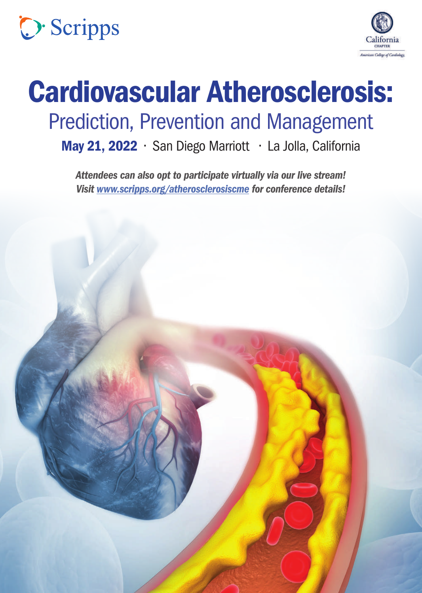



# Cardiovascular Atherosclerosis: Prediction, Prevention and Management

May 21, 2022 • San Diego Marriott • La Jolla, California

*Attendees can also opt to participate virtually via our live stream! Visit<www.scripps.org/atherosclerosiscme> for conference details!*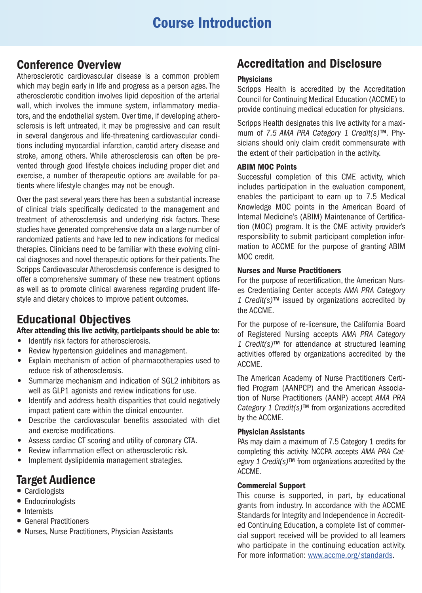### Conference Overview

Atherosclerotic cardiovascular disease is a common problem which may begin early in life and progress as a person ages. The atherosclerotic condition involves lipid deposition of the arterial wall, which involves the immune system, inflammatory mediators, and the endothelial system. Over time, if developing atherosclerosis is left untreated, it may be progressive and can result in several dangerous and life-threatening cardiovascular conditions including myocardial infarction, carotid artery disease and stroke, among others. While atherosclerosis can often be prevented through good lifestyle choices including proper diet and exercise, a number of therapeutic options are available for patients where lifestyle changes may not be enough.

Over the past several years there has been a substantial increase of clinical trials specifically dedicated to the management and treatment of atherosclerosis and underlying risk factors. These studies have generated comprehensive data on a large number of randomized patients and have led to new indications for medical therapies. Clinicians need to be familiar with these evolving clinical diagnoses and novel therapeutic options for their patients. The Scripps Cardiovascular Atherosclerosis conference is designed to offer a comprehensive summary of these new treatment options as well as to promote clinical awareness regarding prudent lifestyle and dietary choices to improve patient outcomes.

### Educational Objectives

After attending this live activity, participants should be able to:

- Identify risk factors for atherosclerosis.
- Review hypertension guidelines and management.
- Explain mechanism of action of pharmacotherapies used to reduce risk of atherosclerosis.
- Summarize mechanism and indication of SGL2 inhibitors as well as GLP1 agonists and review indications for use.
- Identify and address health disparities that could negatively impact patient care within the clinical encounter.
- Describe the cardiovascular benefits associated with diet and exercise modifications.
- Assess cardiac CT scoring and utility of coronary CTA.
- Review inflammation effect on atherosclerotic risk.
- Implement dyslipidemia management strategies.

### Target Audience

- Cardiologists
- Endocrinologists
- **•** Internists
- General Practitioners
- Nurses, Nurse Practitioners, Physician Assistants

### Accreditation and Disclosure

### **Physicians**

Scripps Health is accredited by the Accreditation Council for Continuing Medical Education (ACCME) to provide continuing medical education for physicians.

Scripps Health designates this live activity for a maximum of *7.5 AMA PRA Category 1 Credit(s)™.* Physicians should only claim credit commensurate with the extent of their participation in the activity.

### ABIM MOC Points

Successful completion of this CME activity, which includes participation in the evaluation component, enables the participant to earn up to 7.5 Medical Knowledge MOC points in the American Board of Internal Medicine's (ABIM) Maintenance of Certification (MOC) program. It is the CME activity provider's responsibility to submit participant completion information to ACCME for the purpose of granting ABIM MOC credit.

### Nurses and Nurse Practitioners

For the purpose of recertification, the American Nurses Credentialing Center accepts *AMA PRA Category 1 Credit(s)™* issued by organizations accredited by the ACCME.

For the purpose of re-licensure, the California Board of Registered Nursing accepts *AMA PRA Category 1 Credit(s)™* for attendance at structured learning activities offered by organizations accredited by the ACCME.

The American Academy of Nurse Practitioners Certified Program (AANPCP) and the American Association of Nurse Practitioners (AANP) accept *AMA PRA Category 1 Credit(s)™* from organizations accredited by the ACCME.

#### Physician Assistants

PAs may claim a maximum of 7.5 Category 1 credits for completing this activity. NCCPA accepts *AMA PRA Category 1 Credit(s)™* from organizations accredited by the ACCME.

#### Commercial Support

This course is supported, in part, by educational grants from industry. In accordance with the ACCME Standards for Integrity and Independence in Accredited Continuing Education, a complete list of commercial support received will be provided to all learners who participate in the continuing education activity. For more information: <www.accme.org/standards>.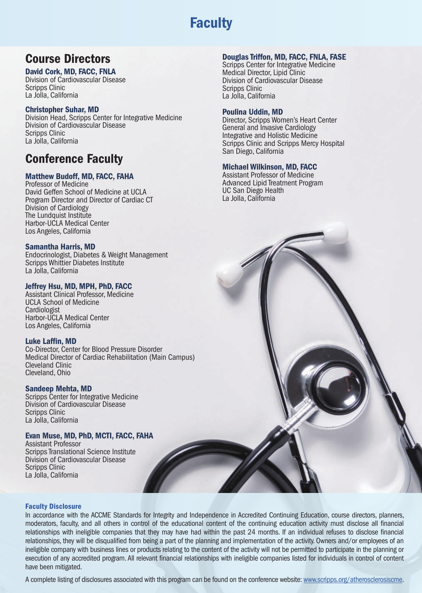# **Faculty**

## Course Directors

### David Cork, MD, FACC, FNLA

Division of Cardiovascular Disease Scripps Clinic La Jolla, California

#### Christopher Suhar, MD

Division Head, Scripps Center for Integrative Medicine Division of Cardiovascular Disease Scripps Clinic La Jolla, California

### Conference Faculty

#### Matthew Budoff, MD, FACC, FAHA

Professor of Medicine David Geffen School of Medicine at UCLA Program Director and Director of Cardiac CT Division of Cardiology The Lundquist Institute Harbor-UCLA Medical Center Los Angeles, California

#### Samantha Harris, MD

Endocrinologist, Diabetes & Weight Management Scripps Whittier Diabetes Institute La Jolla, California

#### Jeffrey Hsu, MD, MPH, PhD, FACC

Assistant Clinical Professor, Medicine UCLA School of Medicine Cardiologist Harbor-UCLA Medical Center Los Angeles, California

#### Luke Laffin, MD

Co-Director, Center for Blood Pressure Disorder Medical Director of Cardiac Rehabilitation (Main Campus) Cleveland Clinic Cleveland, Ohio

#### Sandeep Mehta, MD

Scripps Center for Integrative Medicine Division of Cardiovascular Disease Scripps Clinic La Jolla, California

#### Evan Muse, MD, PhD, MCTI, FACC, FAHA

Assistant Professor Scripps Translational Science Institute Division of Cardiovascular Disease Scripps Clinic La Jolla, California

#### Douglas Triffon, MD, FACC, FNLA, FASE

Scripps Center for Integrative Medicine Medical Director, Lipid Clinic Division of Cardiovascular Disease Scripps Clinic La Jolla, California

#### Poulina Uddin, MD

Director, Scripps Women's Heart Center General and Invasive Cardiology Integrative and Holistic Medicine Scripps Clinic and Scripps Mercy Hospital San Diego, California

#### Michael Wilkinson, MD, FACC

Assistant Professor of Medicine Advanced Lipid Treatment Program UC San Diego Health La Jolla, California

#### Faculty Disclosure

In accordance with the ACCME Standards for Integrity and Independence in Accredited Continuing Education, course directors, planners, moderators, faculty, and all others in control of the educational content of the continuing education activity must disclose all financial relationships with ineligible companies that they may have had within the past 24 months. If an individual refuses to disclose financial relationships, they will be disqualified from being a part of the planning and implementation of the activity. Owners and/or employees of an ineligible company with business lines or products relating to the content of the activity will not be permitted to participate in the planning or execution of any accredited program. All relevant financial relationships with ineligible companies listed for individuals in control of content have been mitigated.

A complete listing of disclosures associated with this program can be found on the conference website:<www.scripps.org/atherosclerosiscme>.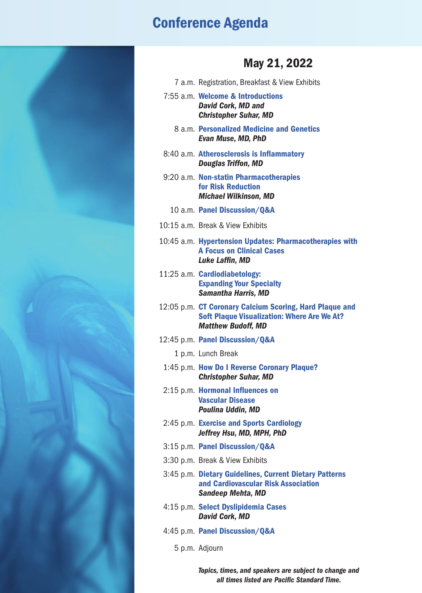# Conference Agenda



## May 21, 2022

- 7 a.m. Registration, Breakfast & View Exhibits
- 7:55 a.m. Welcome & Introductions *David Cork, MD and Christopher Suhar, MD*
	- 8 a.m. Personalized Medicine and Genetics *Evan Muse, MD, PhD*
- 8:40 a.m. Atherosclerosis is Inflammatory *Douglas Triffon, MD*
- 9:20 a.m. Non-statin Pharmacotherapies for Risk Reduction *Michael Wilkinson, MD*
	- 10 a.m. Panel Discussion/Q&A
- 10:15 a.m. Break & View Exhibits
- 10:45 a.m. Hypertension Updates: Pharmacotherapies with A Focus on Clinical Cases *Luke Laffin, MD*
- 11:25 a.m. Cardiodiabetology: Expanding Your Specialty *Samantha Harris, MD*
- 12:05 p.m. CT Coronary Calcium Scoring, Hard Plaque and Soft Plaque Visualization: Where Are We At? *Matthew Budoff, MD*
- 12:45 p.m. Panel Discussion/Q&A
	- 1 p.m. Lunch Break
	- 1:45 p.m. How Do I Reverse Coronary Plaque? *Christopher Suhar, MD*
	- 2:15 p.m. Hormonal Influences on Vascular Disease *Poulina Uddin, MD*
	- 2:45 p.m. Exercise and Sports Cardiology *Jeffrey Hsu, MD, MPH, PhD*
	- 3:15 p.m. Panel Discussion/Q&A
	- 3:30 p.m. Break & View Exhibits
	- 3:45 p.m. Dietary Guidelines, Current Dietary Patterns and Cardiovascular Risk Association *Sandeep Mehta, MD*
	- 4:15 p.m. Select Dyslipidemia Cases *David Cork, MD*
	- 4:45 p.m. Panel Discussion/Q&A
		- 5 p.m. Adjourn

*Topics, times, and speakers are subject to change and all times listed are Pacific Standard Time.*